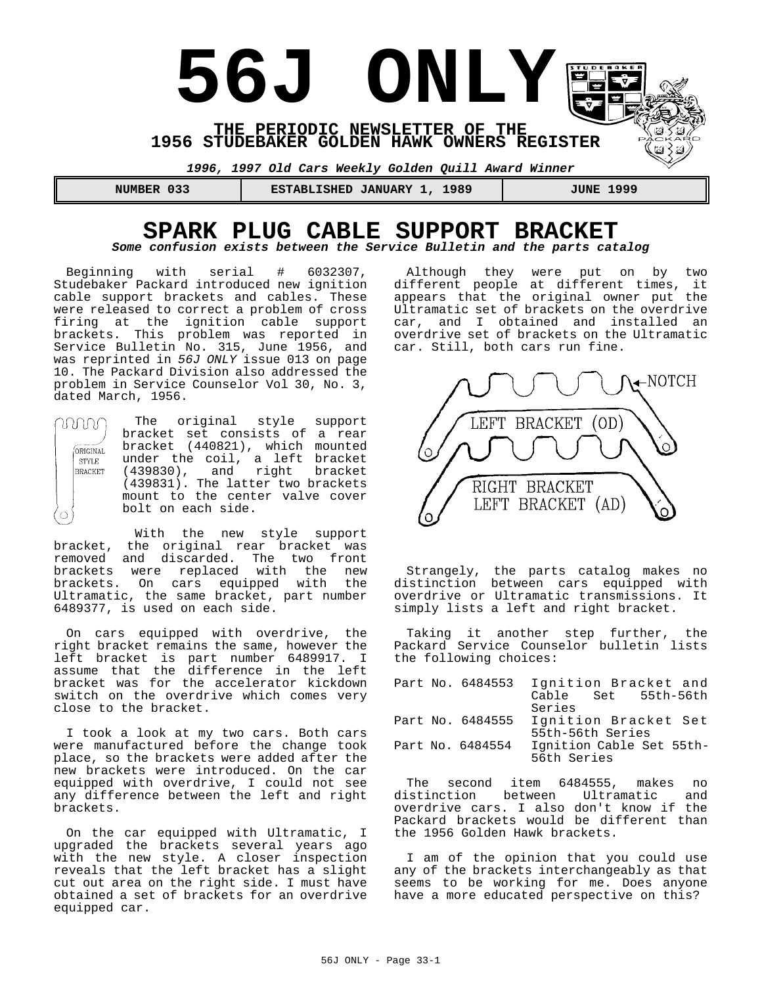

### **SPARK PLUG CABLE SUPPORT BRACKET** *Some confusion exists between the Service Bulletin and the parts catalog*

Beginning with serial # 6032307, Studebaker Packard introduced new ignition cable support brackets and cables. These were released to correct a problem of cross firing at the ignition cable support brackets. This problem was reported in Service Bulletin No. 315, June 1956, and was reprinted in *56J ONLY* issue 013 on page 10. The Packard Division also addressed the problem in Service Counselor Vol 30, No. 3, dated March, 1956.

The original style support MM bracket set consists of a rear bracket (440821), which mounted ORIGINAL under the coil, a left bracket STYLE (439830), and right bracket<br>(439831). The latter two brackets **BRACKET** (439830), and right bracket mount to the center valve cover bolt on each side.

With the new style support bracket, the original rear bracket was removed and discarded. The two front brackets were replaced with the new brackets. On cars equipped with the Ultramatic, the same bracket, part number 6489377, is used on each side.

 $\bigcirc$ 

On cars equipped with overdrive, the right bracket remains the same, however the left bracket is part number 6489917. I assume that the difference in the left bracket was for the accelerator kickdown switch on the overdrive which comes very close to the bracket.

I took a look at my two cars. Both cars were manufactured before the change took place, so the brackets were added after the new brackets were introduced. On the car equipped with overdrive, I could not see any difference between the left and right brackets.

On the car equipped with Ultramatic, I upgraded the brackets several years ago with the new style. A closer inspection reveals that the left bracket has a slight cut out area on the right side. I must have obtained a set of brackets for an overdrive equipped car.

Although they were put on by two different people at different times, it appears that the original owner put the Ultramatic set of brackets on the overdrive car, and I obtained and installed an overdrive set of brackets on the Ultramatic car. Still, both cars run fine.



Strangely, the parts catalog makes no distinction between cars equipped with overdrive or Ultramatic transmissions. It simply lists a left and right bracket.

Taking it another step further, the Packard Service Counselor bulletin lists the following choices:

|  |                  | Part No. 6484553 Ignition Bracket and |
|--|------------------|---------------------------------------|
|  |                  | Cable Set 55th-56th                   |
|  |                  | Series                                |
|  | Part No. 6484555 | Ignition Bracket Set                  |
|  |                  | 55th-56th Series                      |
|  | Part No. 6484554 | Ignition Cable Set 55th-              |
|  |                  | 56th Series                           |

The second item 6484555, makes no<br>istinction between Ultramatic and distinction between Ultramatic overdrive cars. I also don't know if the Packard brackets would be different than the 1956 Golden Hawk brackets.

I am of the opinion that you could use any of the brackets interchangeably as that seems to be working for me. Does anyone have a more educated perspective on this?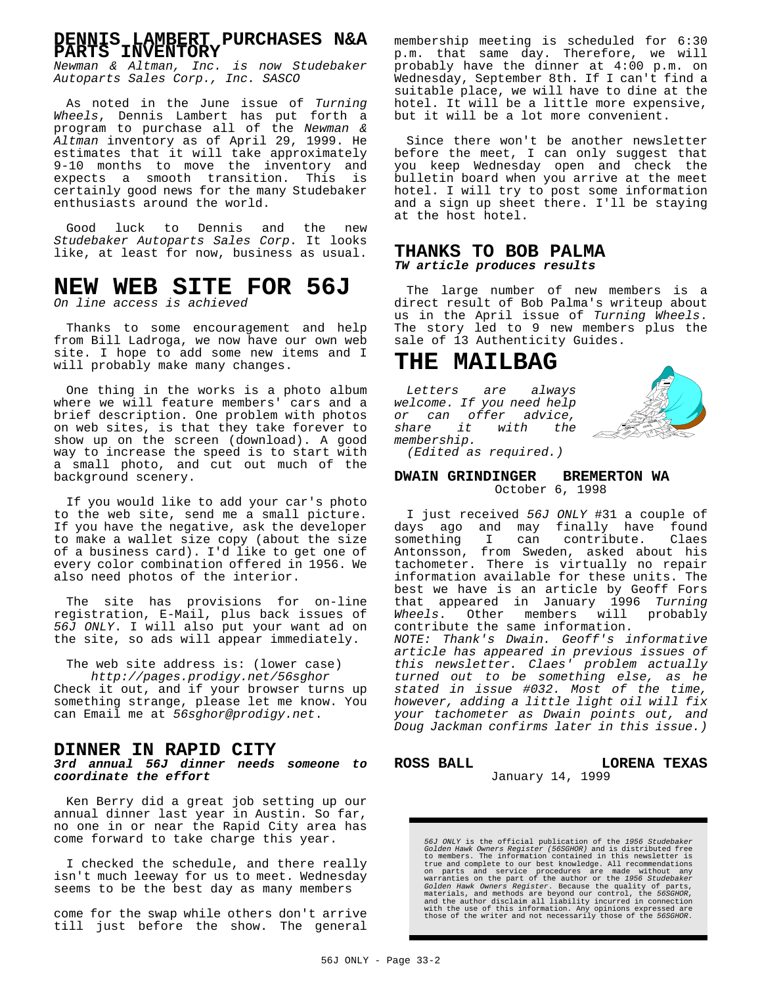### **DENNIS LAMBERT PURCHASES N&A PARTS INVENTORY**

*Newman & Altman, Inc. is now Studebaker Autoparts Sales Corp., Inc. SASCO*

As noted in the June issue of *Turning Wheels*, Dennis Lambert has put forth a program to purchase all of the *Newman & Altman* inventory as of April 29, 1999. He estimates that it will take approximately 9-10 months to move the inventory and expects a smooth transition. This is certainly good news for the many Studebaker enthusiasts around the world.

Good luck to Dennis and the new *Studebaker Autoparts Sales Corp*. It looks like, at least for now, business as usual.

# **NEW WEB SITE FOR 56J**

*On line access is achieved*

Thanks to some encouragement and help from Bill Ladroga, we now have our own web site. I hope to add some new items and I will probably make many changes.

One thing in the works is a photo album where we will feature members' cars and a brief description. One problem with photos on web sites, is that they take forever to show up on the screen (download). A good way to increase the speed is to start with a small photo, and cut out much of the background scenery.

If you would like to add your car's photo to the web site, send me a small picture. If you have the negative, ask the developer to make a wallet size copy (about the size of a business card). I'd like to get one of every color combination offered in 1956. We also need photos of the interior.

The site has provisions for on-line registration, E-Mail, plus back issues of *56J ONLY*. I will also put your want ad on the site, so ads will appear immediately.

The web site address is: (lower case) *http://pages.prodigy.net/56sghor* Check it out, and if your browser turns up something strange, please let me know. You can Email me at *56sghor@prodigy.net*.

#### **DINNER IN RAPID CITY**

*3rd annual 56J dinner needs someone to coordinate the effort*

Ken Berry did a great job setting up our annual dinner last year in Austin. So far, no one in or near the Rapid City area has come forward to take charge this year.

I checked the schedule, and there really isn't much leeway for us to meet. Wednesday seems to be the best day as many members

come for the swap while others don't arrive till just before the show. The general

membership meeting is scheduled for 6:30 p.m. that same day. Therefore, we will probably have the dinner at 4:00 p.m. on Wednesday, September 8th. If I can't find a suitable place, we will have to dine at the hotel. It will be a little more expensive, but it will be a lot more convenient.

Since there won't be another newsletter before the meet, I can only suggest that you keep Wednesday open and check the bulletin board when you arrive at the meet hotel. I will try to post some information and a sign up sheet there. I'll be staying at the host hotel.

#### **THANKS TO BOB PALMA** *TW article produces results*

The large number of new members is a direct result of Bob Palma's writeup about us in the April issue of *Turning Wheels*. The story led to 9 new members plus the sale of 13 Authenticity Guides.

### **THE MAILBAG**

*Letters are always welcome. If you need help or can offer advice, share it with the membership.*



*(Edited as required.)*

#### **DWAIN GRINDINGER BREMERTON WA** October 6, 1998

I just received *56J ONLY* #31 a couple of days ago and may finally have found<br>something I can contribute. Claes something I can Antonsson, from Sweden, asked about his tachometer. There is virtually no repair information available for these units. The best we have is an article by Geoff Fors that appeared in January 1996 *Turning Wheels*. Other members will probably contribute the same information. *NOTE: Thank's Dwain. Geoff's informative article has appeared in previous issues of this newsletter. Claes' problem actually turned out to be something else, as he stated in issue #032. Most of the time, however, adding a little light oil will fix your tachometer as Dwain points out, and Doug Jackman confirms later in this issue.)*

ROSS BALL **LORENA TEXAS** 

#### January 14, 1999

56J ONLY is the official publication of the 1956 Studebaker<br>Golden Hawk Owners Register (56SGHOR) and is distributed free<br>to members. The information contained in this newsletter is<br>true and complete to our best knowledge.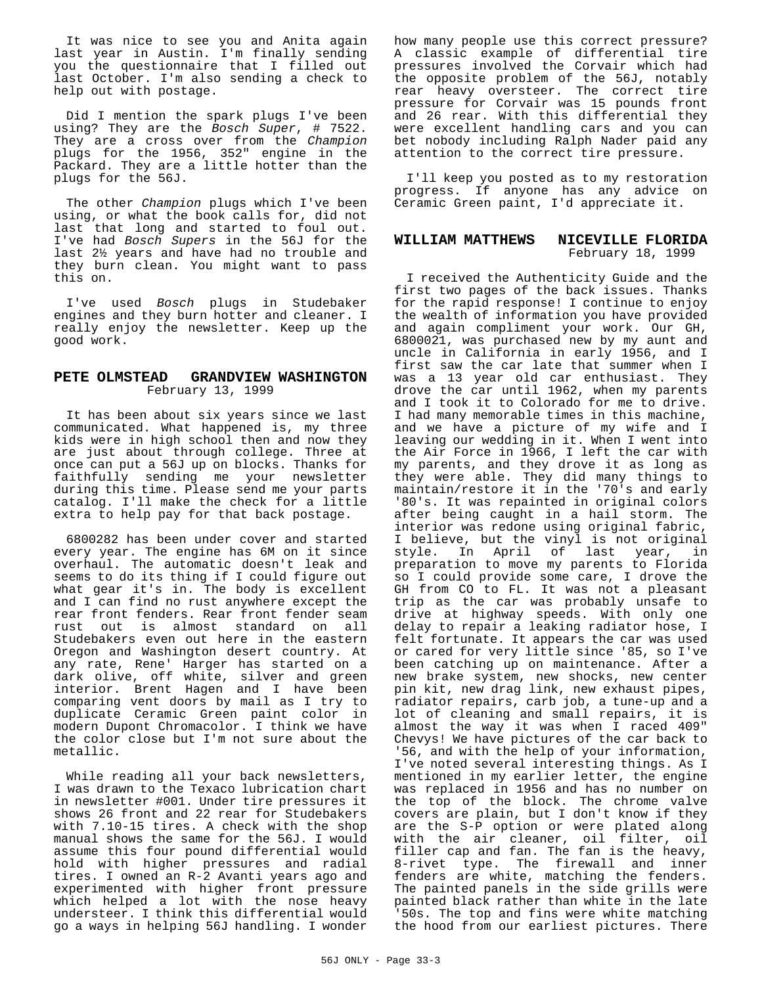It was nice to see you and Anita again last year in Austin. I'm finally sending you the questionnaire that I filled out last October. I'm also sending a check to help out with postage.

Did I mention the spark plugs I've been using? They are the *Bosch Super*, # 7522. They are a cross over from the *Champion* plugs for the 1956, 352" engine in the Packard. They are a little hotter than the plugs for the 56J.

The other *Champion* plugs which I've been using, or what the book calls for, did not last that long and started to foul out. I've had *Bosch Supers* in the 56J for the last 2½ years and have had no trouble and they burn clean. You might want to pass this on.

I've used *Bosch* plugs in Studebaker engines and they burn hotter and cleaner. I really enjoy the newsletter. Keep up the good work.

#### **PETE OLMSTEAD GRANDVIEW WASHINGTON** February 13, 1999

It has been about six years since we last communicated. What happened is, my three kids were in high school then and now they are just about through college. Three at once can put a 56J up on blocks. Thanks for faithfully sending me your newsletter during this time. Please send me your parts catalog. I'll make the check for a little extra to help pay for that back postage.

6800282 has been under cover and started every year. The engine has 6M on it since overhaul. The automatic doesn't leak and seems to do its thing if I could figure out what gear it's in. The body is excellent and I can find no rust anywhere except the rear front fenders. Rear front fender seam rust out is almost standard on all Studebakers even out here in the eastern Oregon and Washington desert country. At any rate, Rene' Harger has started on a dark olive, off white, silver and green interior. Brent Hagen and I have been comparing vent doors by mail as I try to duplicate Ceramic Green paint color in modern Dupont Chromacolor. I think we have the color close but I'm not sure about the metallic.

While reading all your back newsletters, I was drawn to the Texaco lubrication chart in newsletter #001. Under tire pressures it shows 26 front and 22 rear for Studebakers with 7.10-15 tires. A check with the shop manual shows the same for the 56J. I would assume this four pound differential would hold with higher pressures and radial tires. I owned an R-2 Avanti years ago and experimented with higher front pressure which helped a lot with the nose heavy understeer. I think this differential would go a ways in helping 56J handling. I wonder

how many people use this correct pressure? A classic example of differential tire pressures involved the Corvair which had the opposite problem of the 56J, notably rear heavy oversteer. The correct tire pressure for Corvair was 15 pounds front and 26 rear. With this differential they were excellent handling cars and you can bet nobody including Ralph Nader paid any attention to the correct tire pressure.

I'll keep you posted as to my restoration progress. If anyone has any advice on Ceramic Green paint, I'd appreciate it.

#### **WILLIAM MATTHEWS NICEVILLE FLORIDA** February 18, 1999

I received the Authenticity Guide and the first two pages of the back issues. Thanks for the rapid response! I continue to enjoy the wealth of information you have provided and again compliment your work. Our GH, 6800021, was purchased new by my aunt and uncle in California in early 1956, and I first saw the car late that summer when I was a 13 year old car enthusiast. They drove the car until 1962, when my parents and I took it to Colorado for me to drive. I had many memorable times in this machine, and we have a picture of my wife and I leaving our wedding in it. When I went into the Air Force in 1966, I left the car with my parents, and they drove it as long as they were able. They did many things to maintain/restore it in the '70's and early '80's. It was repainted in original colors after being caught in a hail storm. The interior was redone using original fabric, I believe, but the vinyl is not original<br>style. In April of last year, in style. In April of last year, preparation to move my parents to Florida so I could provide some care, I drove the GH from CO to FL. It was not a pleasant trip as the car was probably unsafe to drive at highway speeds. With only one delay to repair a leaking radiator hose, I felt fortunate. It appears the car was used or cared for very little since '85, so I've been catching up on maintenance. After a new brake system, new shocks, new center pin kit, new drag link, new exhaust pipes, radiator repairs, carb job, a tune-up and a lot of cleaning and small repairs, it is almost the way it was when I raced 409" Chevys! We have pictures of the car back to '56, and with the help of your information, I've noted several interesting things. As I mentioned in my earlier letter, the engine was replaced in 1956 and has no number on the top of the block. The chrome valve covers are plain, but I don't know if they are the S-P option or were plated along with the air cleaner, oil filter, oil filler cap and fan. The fan is the heavy, 8-rivet type. The firewall and inner fenders are white, matching the fenders. The painted panels in the side grills were painted black rather than white in the late '50s. The top and fins were white matching the hood from our earliest pictures. There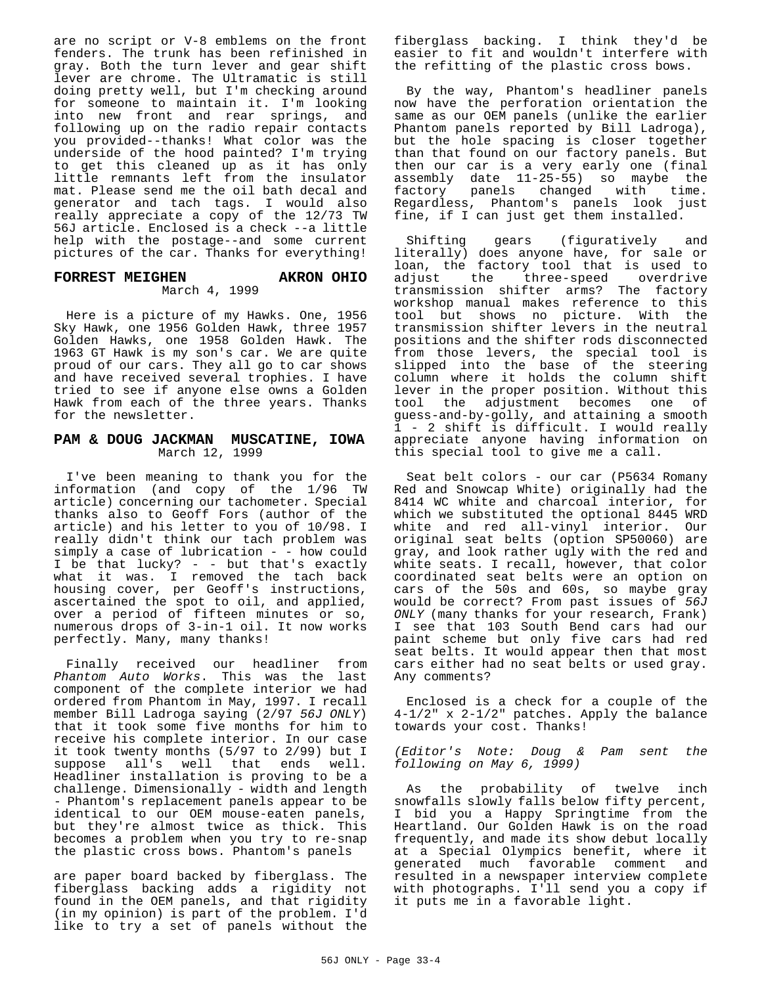are no script or V-8 emblems on the front fenders. The trunk has been refinished in gray. Both the turn lever and gear shift lever are chrome. The Ultramatic is still doing pretty well, but I'm checking around for someone to maintain it. I'm looking into new front and rear springs, and following up on the radio repair contacts you provided--thanks! What color was the underside of the hood painted? I'm trying to get this cleaned up as it has only little remnants left from the insulator mat. Please send me the oil bath decal and generator and tach tags. I would also really appreciate a copy of the 12/73 TW 56J article. Enclosed is a check --a little help with the postage--and some current pictures of the car. Thanks for everything!

#### **FORREST MEIGHEN AKRON OHIO** March 4, 1999

Here is a picture of my Hawks. One, 1956 Sky Hawk, one 1956 Golden Hawk, three 1957 Golden Hawks, one 1958 Golden Hawk. The 1963 GT Hawk is my son's car. We are quite proud of our cars. They all go to car shows and have received several trophies. I have tried to see if anyone else owns a Golden Hawk from each of the three years. Thanks for the newsletter.

#### **PAM & DOUG JACKMAN MUSCATINE, IOWA** March 12, 1999

I've been meaning to thank you for the information (and copy of the 1/96 TW article) concerning our tachometer. Special thanks also to Geoff Fors (author of the article) and his letter to you of 10/98. I really didn't think our tach problem was simply a case of lubrication - - how could I be that lucky? - - but that's exactly what it was. I removed the tach back housing cover, per Geoff's instructions, ascertained the spot to oil, and applied, over a period of fifteen minutes or so, numerous drops of 3-in-1 oil. It now works perfectly. Many, many thanks!

Finally received our headliner from *Phantom Auto Works*. This was the last component of the complete interior we had ordered from Phantom in May, 1997. I recall member Bill Ladroga saying (2/97 *56J ONLY*) that it took some five months for him to receive his complete interior. In our case it took twenty months (5/97 to 2/99) but I suppose all's well that ends well. Headliner installation is proving to be a challenge. Dimensionally - width and length - Phantom's replacement panels appear to be identical to our OEM mouse-eaten panels, but they're almost twice as thick. This becomes a problem when you try to re-snap the plastic cross bows. Phantom's panels

are paper board backed by fiberglass. The fiberglass backing adds a rigidity not found in the OEM panels, and that rigidity (in my opinion) is part of the problem. I'd like to try a set of panels without the fiberglass backing. I think they'd be easier to fit and wouldn't interfere with the refitting of the plastic cross bows.

By the way, Phantom's headliner panels now have the perforation orientation the same as our OEM panels (unlike the earlier Phantom panels reported by Bill Ladroga), but the hole spacing is closer together than that found on our factory panels. But then our car is a very early one (final assembly date  $11-25-55$ ) so maybe the factory panels changed with time. factory panels changed with Regardless, Phantom's panels look just fine, if I can just get them installed.

Shifting gears (figuratively and literally) does anyone have, for sale or loan, the factory tool that is used to<br>adjust the three-speed overdrive three-speed overdrive transmission shifter arms? The factory workshop manual makes reference to this tool but shows no picture. With the transmission shifter levers in the neutral positions and the shifter rods disconnected from those levers, the special tool is slipped into the base of the steering column where it holds the column shift lever in the proper position. Without this tool the adjustment becomes one of guess-and-by-golly, and attaining a smooth 1 - 2 shift is difficult. I would really appreciate anyone having information on this special tool to give me a call.

Seat belt colors - our car (P5634 Romany Red and Snowcap White) originally had the 8414 WC white and charcoal interior, for which we substituted the optional 8445 WRD white and red all-vinyl interior. Our original seat belts (option SP50060) are gray, and look rather ugly with the red and white seats. I recall, however, that color coordinated seat belts were an option on cars of the 50s and 60s, so maybe gray would be correct? From past issues of *56J ONLY* (many thanks for your research, Frank) I see that 103 South Bend cars had our paint scheme but only five cars had red seat belts. It would appear then that most cars either had no seat belts or used gray. Any comments?

Enclosed is a check for a couple of the 4-1/2" x 2-1/2" patches. Apply the balance towards your cost. Thanks!

*(Editor's Note: Doug & Pam sent the following on May 6, 1999)*

As the probability of twelve inch snowfalls slowly falls below fifty percent, I bid you a Happy Springtime from the Heartland. Our Golden Hawk is on the road frequently, and made its show debut locally at a Special Olympics benefit, where it generated much favorable comment and resulted in a newspaper interview complete with photographs. I'll send you a copy if it puts me in a favorable light.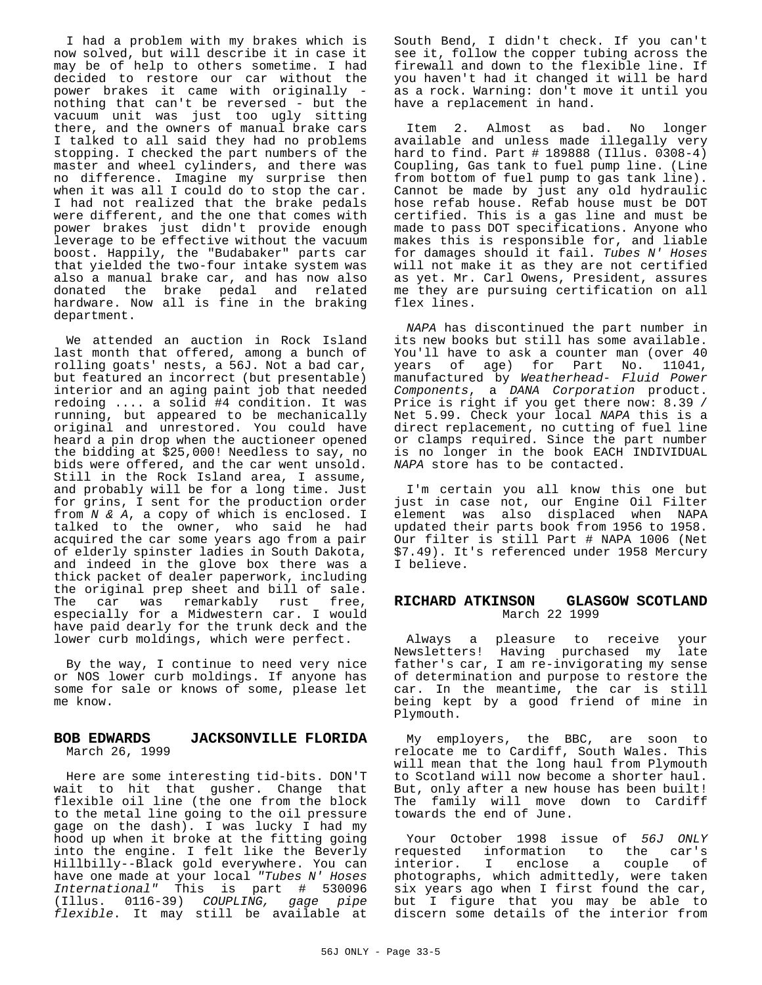I had a problem with my brakes which is now solved, but will describe it in case it may be of help to others sometime. I had decided to restore our car without the power brakes it came with originally nothing that can't be reversed - but the vacuum unit was just too ugly sitting there, and the owners of manual brake cars I talked to all said they had no problems stopping. I checked the part numbers of the master and wheel cylinders, and there was no difference. Imagine my surprise then when it was all I could do to stop the car. I had not realized that the brake pedals were different, and the one that comes with power brakes just didn't provide enough leverage to be effective without the vacuum boost. Happily, the "Budabaker" parts car that yielded the two-four intake system was also a manual brake car, and has now also donated the brake pedal and related hardware. Now all is fine in the braking department.

We attended an auction in Rock Island last month that offered, among a bunch of rolling goats' nests, a 56J. Not a bad car, but featured an incorrect (but presentable) interior and an aging paint job that needed redoing .... a solid #4 condition. It was running, but appeared to be mechanically original and unrestored. You could have heard a pin drop when the auctioneer opened the bidding at \$25,000! Needless to say, no bids were offered, and the car went unsold. Still in the Rock Island area, I assume, and probably will be for a long time. Just for grins, I sent for the production order from *N & A*, a copy of which is enclosed. I talked to the owner, who said he had acquired the car some years ago from a pair of elderly spinster ladies in South Dakota, and indeed in the glove box there was a thick packet of dealer paperwork, including the original prep sheet and bill of sale. The car was remarkably rust free, especially for a Midwestern car. I would have paid dearly for the trunk deck and the lower curb moldings, which were perfect.

By the way, I continue to need very nice or NOS lower curb moldings. If anyone has some for sale or knows of some, please let me know.

#### **BOB EDWARDS JACKSONVILLE FLORIDA** March 26, 1999

Here are some interesting tid-bits. DON'T wait to hit that gusher. Change that flexible oil line (the one from the block to the metal line going to the oil pressure gage on the dash). I was lucky I had my hood up when it broke at the fitting going into the engine. I felt like the Beverly Hillbilly--Black gold everywhere. You can have one made at your local *"Tubes N' Hoses International"* This is part # 530096 (Illus. 0116-39) *COUPLING, gage pipe flexible*. It may still be available at

South Bend, I didn't check. If you can't see it, follow the copper tubing across the firewall and down to the flexible line. If you haven't had it changed it will be hard as a rock. Warning: don't move it until you have a replacement in hand.

Item 2. Almost as bad. No longer available and unless made illegally very hard to find. Part # 189888 (Illus. 0308-4) Coupling, Gas tank to fuel pump line. (Line from bottom of fuel pump to gas tank line). Cannot be made by just any old hydraulic hose refab house. Refab house must be DOT certified. This is a gas line and must be made to pass DOT specifications. Anyone who makes this is responsible for, and liable for damages should it fail. *Tubes N' Hoses* will not make it as they are not certified as yet. Mr. Carl Owens, President, assures me they are pursuing certification on all flex lines.

*NAPA* has discontinued the part number in its new books but still has some available. You'll have to ask a counter man (over 40 years of age) for Part No. 11041, manufactured by *Weatherhead- Fluid Power Components*, a *DANA Corporation* product. Price is right if you get there now: 8.39 / Net 5.99. Check your local *NAPA* this is a direct replacement, no cutting of fuel line or clamps required. Since the part number is no longer in the book EACH INDIVIDUAL *NAPA* store has to be contacted.

I'm certain you all know this one but just in case not, our Engine Oil Filter element was also displaced when NAPA updated their parts book from 1956 to 1958. Our filter is still Part # NAPA 1006 (Net \$7.49). It's referenced under 1958 Mercury I believe.

#### **RICHARD ATKINSON GLASGOW SCOTLAND** March 22 1999

Always a pleasure to receive your Newsletters! Having purchased my late father's car, I am re-invigorating my sense of determination and purpose to restore the car. In the meantime, the car is still being kept by a good friend of mine in Plymouth.

My employers, the BBC, are soon to relocate me to Cardiff, South Wales. This will mean that the long haul from Plymouth to Scotland will now become a shorter haul. But, only after a new house has been built! The family will move down to Cardiff towards the end of June.

Your October 1998 issue of *56J ONLY* requested information to the car's I enclose a couple of photographs, which admittedly, were taken six years ago when I first found the car, but I figure that you may be able to discern some details of the interior from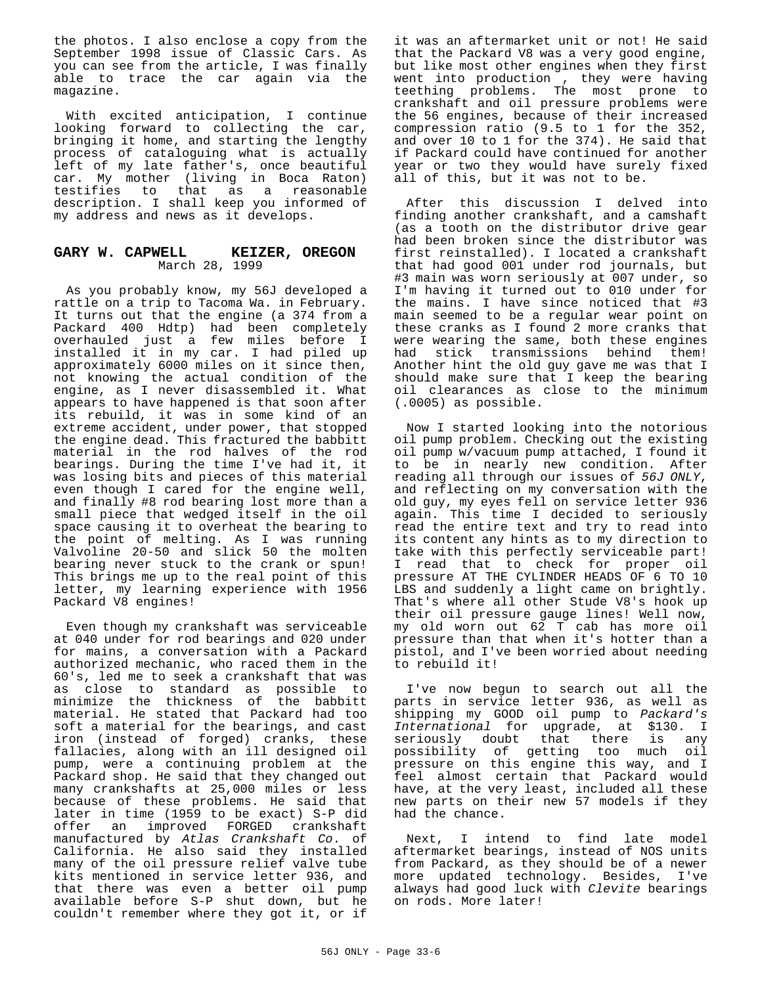the photos. I also enclose a copy from the September 1998 issue of Classic Cars. As you can see from the article, I was finally able to trace the car again via the magazine.

With excited anticipation, I continue looking forward to collecting the car, bringing it home, and starting the lengthy process of cataloguing what is actually left of my late father's, once beautiful car. My mother (living in Boca Raton) testifies to that as a reasonable description. I shall keep you informed of my address and news as it develops.

#### **GARY W. CAPWELL KEIZER, OREGON** March 28, 1999

As you probably know, my 56J developed a rattle on a trip to Tacoma Wa. in February. It turns out that the engine (a 374 from a Packard 400 Hdtp) had been completely overhauled just a few miles before I installed it in my car. I had piled up approximately 6000 miles on it since then, not knowing the actual condition of the engine, as I never disassembled it. What appears to have happened is that soon after its rebuild, it was in some kind of an extreme accident, under power, that stopped the engine dead. This fractured the babbitt material in the rod halves of the rod bearings. During the time I've had it, it was losing bits and pieces of this material even though I cared for the engine well, and finally #8 rod bearing lost more than a small piece that wedged itself in the oil space causing it to overheat the bearing to the point of melting. As I was running Valvoline 20-50 and slick 50 the molten bearing never stuck to the crank or spun! This brings me up to the real point of this letter, my learning experience with 1956 Packard V8 engines!

Even though my crankshaft was serviceable at 040 under for rod bearings and 020 under for mains, a conversation with a Packard authorized mechanic, who raced them in the 60's, led me to seek a crankshaft that was as close to standard as possible to minimize the thickness of the babbitt material. He stated that Packard had too soft a material for the bearings, and cast iron (instead of forged) cranks, these fallacies, along with an ill designed oil pump, were a continuing problem at the Packard shop. He said that they changed out many crankshafts at 25,000 miles or less because of these problems. He said that later in time (1959 to be exact) S-P did offer an improved FORGED crankshaft manufactured by *Atlas Crankshaft Co*. of California. He also said they installed many of the oil pressure relief valve tube kits mentioned in service letter 936, and that there was even a better oil pump available before S-P shut down, but he couldn't remember where they got it, or if

it was an aftermarket unit or not! He said that the Packard V8 was a very good engine, but like most other engines when they first went into production , they were having teething problems. The most prone to crankshaft and oil pressure problems were the 56 engines, because of their increased compression ratio (9.5 to 1 for the 352, and over 10 to 1 for the 374). He said that if Packard could have continued for another year or two they would have surely fixed all of this, but it was not to be.

After this discussion I delved into finding another crankshaft, and a camshaft (as a tooth on the distributor drive gear had been broken since the distributor was first reinstalled). I located a crankshaft that had good 001 under rod journals, but #3 main was worn seriously at 007 under, so I'm having it turned out to 010 under for the mains. I have since noticed that #3 main seemed to be a regular wear point on these cranks as I found 2 more cranks that were wearing the same, both these engines had stick transmissions behind them! Another hint the old guy gave me was that I should make sure that I keep the bearing oil clearances as close to the minimum (.0005) as possible.

Now I started looking into the notorious oil pump problem. Checking out the existing oil pump w/vacuum pump attached, I found it to be in nearly new condition. After reading all through our issues of *56J ONLY*, and reflecting on my conversation with the old guy, my eyes fell on service letter 936 again. This time I decided to seriously read the entire text and try to read into its content any hints as to my direction to take with this perfectly serviceable part! I read that to check for proper oil pressure AT THE CYLINDER HEADS OF 6 TO 10 LBS and suddenly a light came on brightly. That's where all other Stude V8's hook up their oil pressure gauge lines! Well now, my old worn out 62 T cab has more oil pressure than that when it's hotter than a pistol, and I've been worried about needing to rebuild it!

I've now begun to search out all the parts in service letter 936, as well as shipping my GOOD oil pump to *Packard's International* for upgrade, at \$130. I seriously doubt that there is any possibility of getting too much oil pressure on this engine this way, and I feel almost certain that Packard would have, at the very least, included all these new parts on their new 57 models if they had the chance.

Next, I intend to find late model aftermarket bearings, instead of NOS units from Packard, as they should be of a newer more updated technology. Besides, I've always had good luck with *Clevite* bearings on rods. More later!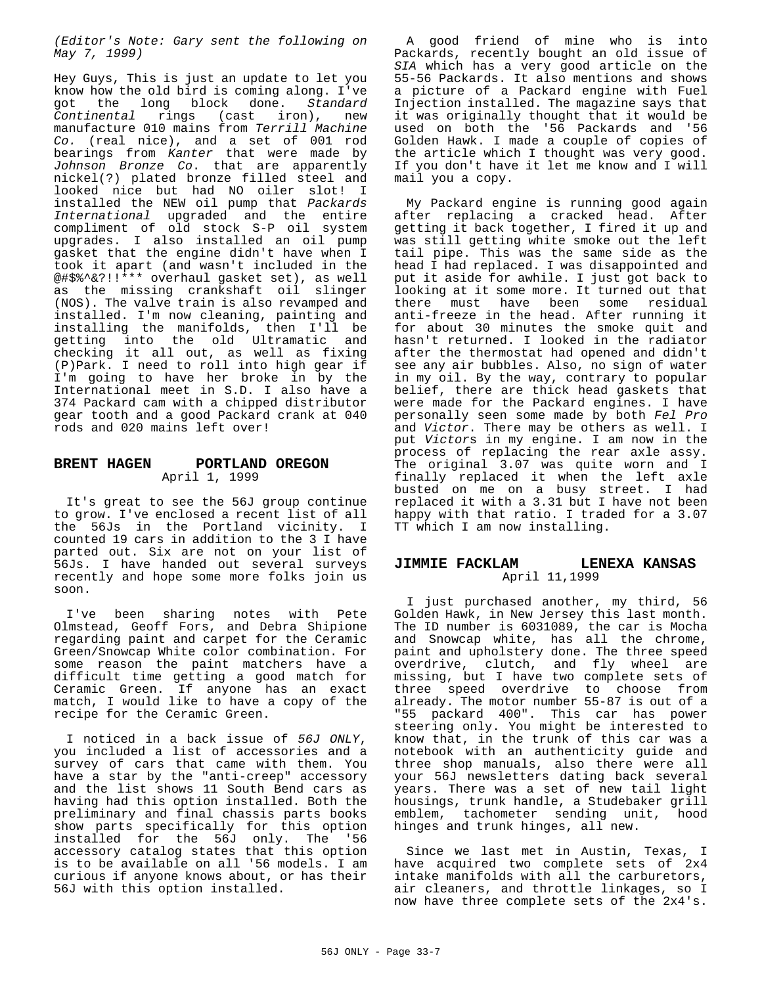*(Editor's Note: Gary sent the following on May 7, 1999)*

Hey Guys, This is just an update to let you know how the old bird is coming along. I've got the long block done. *Standard Continental* rings (cast iron), new manufacture 010 mains from *Terrill Machine Co.* (real nice), and a set of 001 rod bearings from *Kanter* that were made by *Johnson Bronze Co*. that are apparently nickel(?) plated bronze filled steel and looked nice but had NO oiler slot! I installed the NEW oil pump that *Packards International* upgraded and the entire compliment of old stock S-P oil system upgrades. I also installed an oil pump gasket that the engine didn't have when I took it apart (and wasn't included in the @#\$%^&?!!\*\*\* overhaul gasket set), as well as the missing crankshaft oil slinger (NOS). The valve train is also revamped and installed. I'm now cleaning, painting and installing the manifolds, then I'll be getting into the old Ultramatic and checking it all out, as well as fixing (P)Park. I need to roll into high gear if I'm going to have her broke in by the International meet in S.D. I also have a 374 Packard cam with a chipped distributor gear tooth and a good Packard crank at 040 rods and 020 mains left over!

#### **BRENT HAGEN PORTLAND OREGON** April 1, 1999

It's great to see the 56J group continue to grow. I've enclosed a recent list of all the 56Js in the Portland vicinity. I counted 19 cars in addition to the 3 I have parted out. Six are not on your list of 56Js. I have handed out several surveys recently and hope some more folks join us soon.

I've been sharing notes with Pete Olmstead, Geoff Fors, and Debra Shipione regarding paint and carpet for the Ceramic Green/Snowcap White color combination. For some reason the paint matchers have a difficult time getting a good match for Ceramic Green. If anyone has an exact match, I would like to have a copy of the recipe for the Ceramic Green.

I noticed in a back issue of *56J ONLY*, you included a list of accessories and a survey of cars that came with them. You have a star by the "anti-creep" accessory and the list shows 11 South Bend cars as having had this option installed. Both the preliminary and final chassis parts books show parts specifically for this option installed for the 56J only. The '56 accessory catalog states that this option is to be available on all '56 models. I am curious if anyone knows about, or has their 56J with this option installed.

A good friend of mine who is into Packards, recently bought an old issue of *SIA* which has a very good article on the 55-56 Packards. It also mentions and shows a picture of a Packard engine with Fuel Injection installed. The magazine says that it was originally thought that it would be used on both the '56 Packards and '56 Golden Hawk. I made a couple of copies of the article which I thought was very good. If you don't have it let me know and I will mail you a copy.

My Packard engine is running good again after replacing a cracked head. After getting it back together, I fired it up and was still getting white smoke out the left tail pipe. This was the same side as the head I had replaced. I was disappointed and put it aside for awhile. I just got back to looking at it some more. It turned out that there must have been some residual anti-freeze in the head. After running it for about 30 minutes the smoke quit and hasn't returned. I looked in the radiator after the thermostat had opened and didn't see any air bubbles. Also, no sign of water in my oil. By the way, contrary to popular belief, there are thick head gaskets that were made for the Packard engines. I have personally seen some made by both *Fel Pro* and *Victor*. There may be others as well. I put *Victor*s in my engine. I am now in the process of replacing the rear axle assy. The original 3.07 was quite worn and I finally replaced it when the left axle busted on me on a busy street. I had replaced it with a 3.31 but I have not been happy with that ratio. I traded for a 3.07 TT which I am now installing.

#### **JIMMIE FACKLAM LENEXA KANSAS** April 11,1999

I just purchased another, my third, 56 Golden Hawk, in New Jersey this last month. The ID number is 6031089, the car is Mocha and Snowcap white, has all the chrome, paint and upholstery done. The three speed overdrive, clutch, and fly wheel are missing, but I have two complete sets of three speed overdrive to choose from already. The motor number 55-87 is out of a "55 packard 400". This car has power steering only. You might be interested to know that, in the trunk of this car was a notebook with an authenticity guide and three shop manuals, also there were all your 56J newsletters dating back several years. There was a set of new tail light housings, trunk handle, a Studebaker grill emblem, tachometer sending unit, hood hinges and trunk hinges, all new.

Since we last met in Austin, Texas, I have acquired two complete sets of 2x4 intake manifolds with all the carburetors, air cleaners, and throttle linkages, so I now have three complete sets of the 2x4's.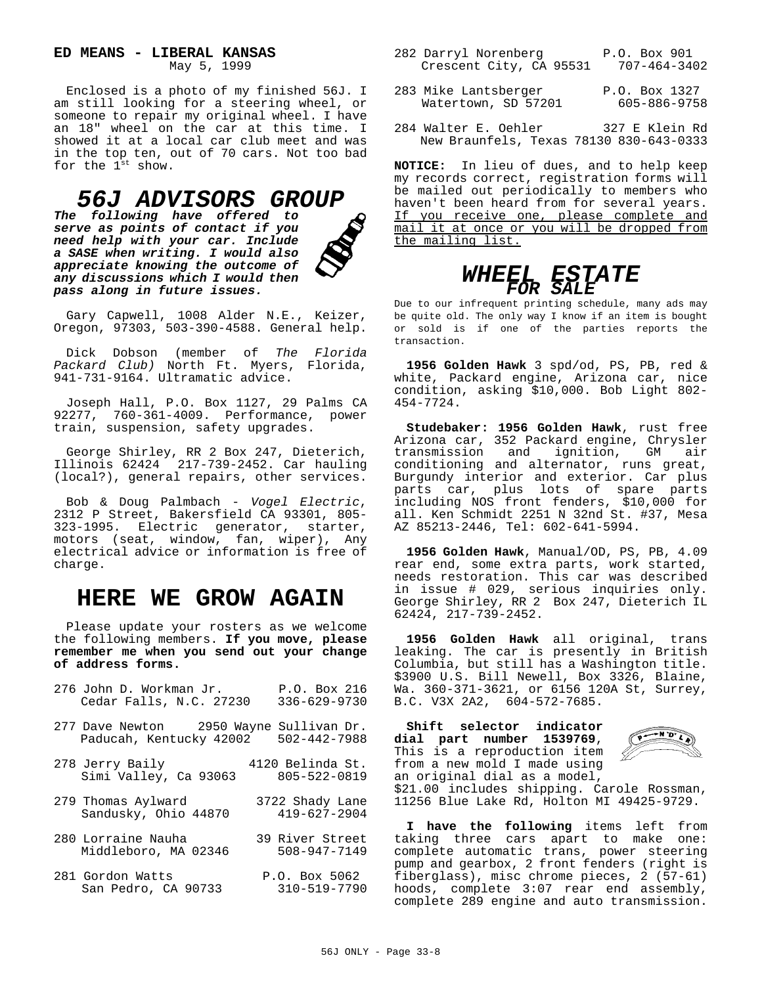**ED MEANS - LIBERAL KANSAS**

May 5, 1999

Enclosed is a photo of my finished 56J. I am still looking for a steering wheel, or someone to repair my original wheel. I have an 18" wheel on the car at this time. I showed it at a local car club meet and was in the top ten, out of 70 cars. Not too bad for the 1<sup>st</sup> show.

### *56J ADVISORS GROUP*

*The following have offered to serve as points of contact if you need help with your car. Include a SASE when writing. I would also appreciate knowing the outcome of any discussions which I would then pass along in future issues.*



Gary Capwell, 1008 Alder N.E., Keizer, Oregon, 97303, 503-390-4588. General help.

Dick Dobson (member of *The Florida Packard Club)* North Ft. Myers, Florida, 941-731-9164. Ultramatic advice.

Joseph Hall, P.O. Box 1127, 29 Palms CA 92277, 760-361-4009. Performance, power train, suspension, safety upgrades.

George Shirley, RR 2 Box 247, Dieterich, Illinois 62424 217-739-2452. Car hauling (local?), general repairs, other services.

Bob & Doug Palmbach - *Vogel Electric*, 2312 P Street, Bakersfield CA 93301, 805- 323-1995. Electric generator, starter, motors (seat, window, fan, wiper), Any electrical advice or information is free of charge.

## **HERE WE GROW AGAIN**

Please update your rosters as we welcome the following members. **If you move, please remember me when you send out your change of address forms.**

| 276 John D. Workman Jr. |  |                         | P.O. Box 216       |  |
|-------------------------|--|-------------------------|--------------------|--|
|                         |  | Cedar Falls, N.C. 27230 | $336 - 629 - 9730$ |  |
|                         |  |                         |                    |  |

- 277 Dave Newton 2950 Wayne Sullivan Dr. Paducah, Kentucky 42002
- 278 Jerry Baily 4120 Belinda St. Simi Valley, Ca 93063
- 279 Thomas Aylward 3722 Shady Lane<br>Sandusky, Ohio 44870 419-627-2904 Sandusky, Ohio 44870
- 280 Lorraine Nauha 39 River Street Middleboro, MA 02346
- 281 Gordon Watts P.O. Box 5062 San Pedro, CA 90733

| 282 Darryl Norenberg    |  | P.O. Box 901 |              |
|-------------------------|--|--------------|--------------|
| Crescent City, CA 95531 |  |              | 707-464-3402 |

- 283 Mike Lantsberger P.O. Box 1327<br>Watertown, SD 57201 605-886-9758 Watertown, SD 57201
- 284 Walter E. Oehler 327 E Klein Rd New Braunfels, Texas 78130 830-643-0333

**NOTICE:** In lieu of dues, and to help keep my records correct, registration forms will be mailed out periodically to members who haven't been heard from for several years. If you receive one, please complete and mail it at once or you will be dropped from the mailing list.

### *WHEEL ESTATE FOR SALE*

Due to our infrequent printing schedule, many ads may be quite old. The only way I know if an item is bought or sold is if one of the parties reports the transaction.

**1956 Golden Hawk** 3 spd/od, PS, PB, red & white, Packard engine, Arizona car, nice condition, asking \$10,000. Bob Light 802- 454-7724.

**Studebaker: 1956 Golden Hawk**, rust free Arizona car, 352 Packard engine, Chrysler transmission and ignition, GM air conditioning and alternator, runs great, Burgundy interior and exterior. Car plus parts car, plus lots of spare parts including NOS front fenders, \$10,000 for all. Ken Schmidt 2251 N 32nd St. #37, Mesa AZ 85213-2446, Tel: 602-641-5994.

**1956 Golden Hawk**, Manual/OD, PS, PB, 4.09 rear end, some extra parts, work started, needs restoration. This car was described in issue # 029, serious inquiries only. George Shirley, RR 2 Box 247, Dieterich IL 62424, 217-739-2452.

**1956 Golden Hawk** all original, trans leaking. The car is presently in British Columbia, but still has a Washington title. \$3900 U.S. Bill Newell, Box 3326, Blaine, Wa. 360-371-3621, or 6156 120A St, Surrey, B.C. V3X 2A2, 604-572-7685.

**Shift selector indicator dial part number 1539769**, This is a reproduction item from a new mold I made using an original dial as a model,



\$21.00 includes shipping. Carole Rossman, 11256 Blue Lake Rd, Holton MI 49425-9729.

**I have the following** items left from taking three cars apart to make one: complete automatic trans, power steering pump and gearbox, 2 front fenders (right is fiberglass), misc chrome pieces, 2 (57-61) hoods, complete 3:07 rear end assembly, complete 289 engine and auto transmission.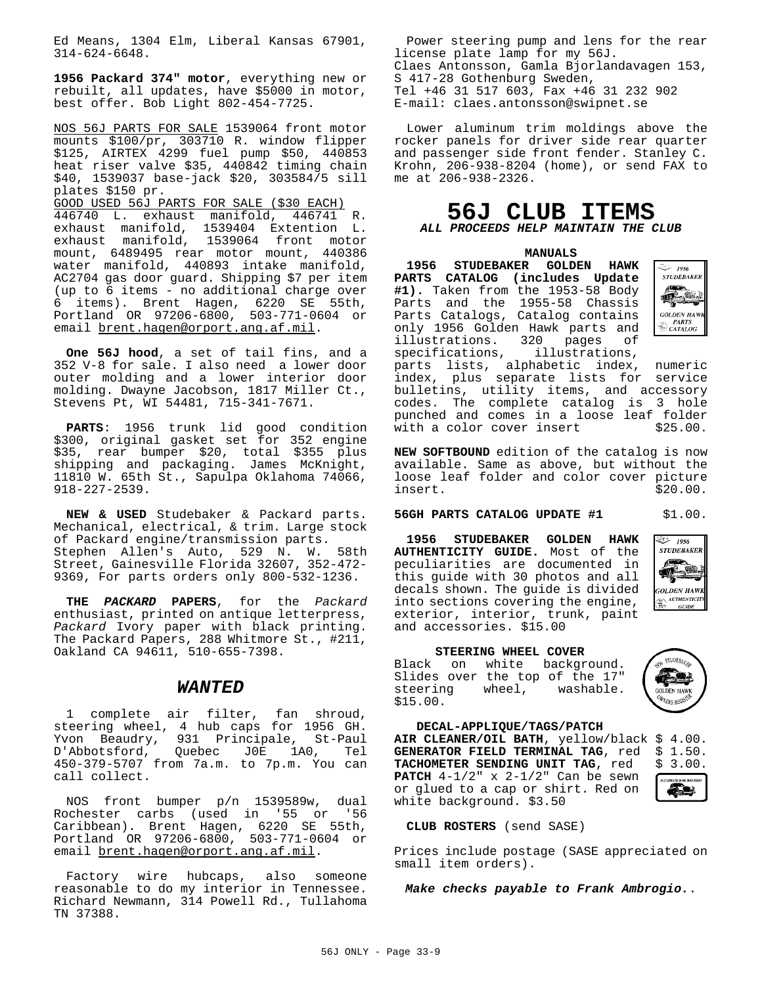Ed Means, 1304 Elm, Liberal Kansas 67901, 314-624-6648.

**1956 Packard 374" motor**, everything new or rebuilt, all updates, have \$5000 in motor, best offer. Bob Light 802-454-7725.

NOS 56J PARTS FOR SALE 1539064 front motor mounts \$100/pr, 303710 R. window flipper \$125, AIRTEX 4299 fuel pump \$50, 440853 heat riser valve \$35, 440842 timing chain \$40, 1539037 base-jack \$20, 303584/5 sill plates \$150 pr.

GOOD USED 56J PARTS FOR SALE (\$30 EACH) 446740 L. exhaust manifold, 446741 R. exhaust manifold, 1539404 Extention L. exhaust manifold, 1539064 front motor mount, 6489495 rear motor mount, 440386 water manifold, 440893 intake manifold, AC2704 gas door guard. Shipping \$7 per item (up to 6 items - no additional charge over 6 items). Brent Hagen, 6220 SE 55th, Portland OR 97206-6800, 503-771-0604 or email brent.hagen@orport.ang.af.mil.

**One 56J hood**, a set of tail fins, and a 352 V-8 for sale. I also need a lower door outer molding and a lower interior door molding. Dwayne Jacobson, 1817 Miller Ct., Stevens Pt, WI 54481, 715-341-7671.

**PARTS**: 1956 trunk lid good condition \$300, original gasket set for 352 engine \$35, rear bumper \$20, total \$355 plus shipping and packaging. James McKnight, 11810 W. 65th St., Sapulpa Oklahoma 74066, 918-227-2539.

**NEW & USED** Studebaker & Packard parts. Mechanical, electrical, & trim. Large stock of Packard engine/transmission parts. Stephen Allen's Auto, 529 N. W. 58th Street, Gainesville Florida 32607, 352-472- 9369, For parts orders only 800-532-1236.

**THE** *PACKARD* **PAPERS**, for the *Packard* enthusiast, printed on antique letterpress, *Packard* Ivory paper with black printing. The Packard Papers, 288 Whitmore St., #211, Oakland CA 94611, 510-655-7398.

#### *WANTED*

1 complete air filter, fan shroud, steering wheel, 4 hub caps for 1956 GH. Yvon Beaudry, 931 Principale, St-Paul<br>D'Abbotsford, Quebec JOE 1A0, Tel Quebec J0E 1A0, Tel 450-379-5707 from 7a.m. to 7p.m. You can call collect.

NOS front bumper p/n 1539589w, dual Rochester carbs (used in '55 or '56 Caribbean). Brent Hagen, 6220 SE 55th, Portland OR 97206-6800, 503-771-0604 or email brent.hagen@orport.ang.af.mil.

Factory wire hubcaps, also someone reasonable to do my interior in Tennessee. Richard Newmann, 314 Powell Rd., Tullahoma TN 37388.

Power steering pump and lens for the rear license plate lamp for my 56J. Claes Antonsson, Gamla Bjorlandavagen 153, S 417-28 Gothenburg Sweden, Tel +46 31 517 603, Fax +46 31 232 902 E-mail: claes.antonsson@swipnet.se

Lower aluminum trim moldings above the rocker panels for driver side rear quarter and passenger side front fender. Stanley C. Krohn, 206-938-8204 (home), or send FAX to me at 206-938-2326.

### **56J CLUB ITEMS**

*ALL PROCEEDS HELP MAINTAIN THE CLUB*

**MANUALS**

**1956 STUDEBAKER GOLDEN HAWK PARTS CATALOG (includes Update #1).** Taken from the 1953-58 Body Parts and the 1955-58 Chassis Parts Catalogs, Catalog contains only 1956 Golden Hawk parts and<br>illustrations. 320 pages of illustrations. 320 pages specifications, illustrations,



parts lists, alphabetic index, numeric index, plus separate lists for service bulletins, utility items, and accessory codes. The complete catalog is 3 hole punched and comes in a loose leaf folder<br>with a color cover insert \$25.00. with a color cover insert

**NEW SOFTBOUND** edition of the catalog is now available. Same as above, but without the loose leaf folder and color cover picture insert. \$20.00.

#### **56GH PARTS CATALOG UPDATE #1** \$1.00.

**1956 STUDEBAKER GOLDEN HAWK AUTHENTICITY GUIDE.** Most of the peculiarities are documented in this guide with 30 photos and all decals shown. The guide is divided into sections covering the engine, exterior, interior, trunk, paint and accessories. \$15.00



#### **STEERING WHEEL COVER**

Black on white background. Slides over the top of the 17"<br>steering wheel, washable. wheel, washable. \$15.00.



.<br>Cor van deutscheef Æs

**DECAL-APPLIQUE/TAGS/PATCH**

AIR CLEANER/OIL BATH, yellow/black \$ 4.00.<br>GENERATOR FIELD TERMINAL TAG, red \$ 1.50. GENERATOR FIELD TERMINAL TAG, red \$ 1.50.<br>TACHOMETER SENDING UNIT TAG, red \$ 3.00. TACHOMETER SENDING UNIT TAG, red **PATCH** 4-1/2" x 2-1/2" Can be sewn or glued to a cap or shirt. Red on white background. \$3.50

**CLUB ROSTERS** (send SASE)

Prices include postage (SASE appreciated on small item orders).

*Make checks payable to Frank Ambrogio.*.